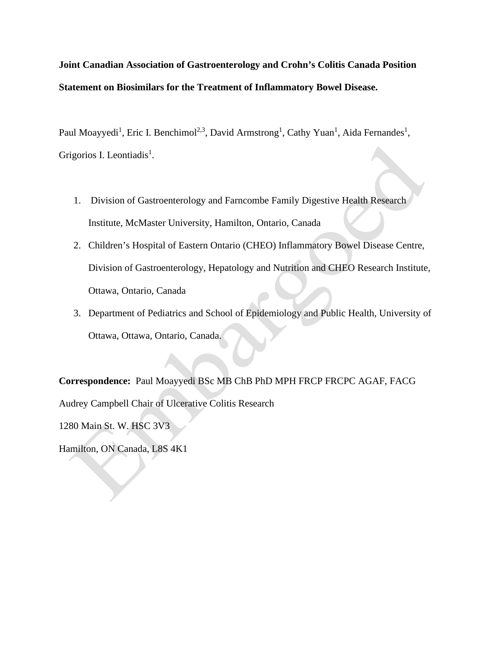**Joint Canadian Association of Gastroenterology and Crohn's Colitis Canada Position Statement on Biosimilars for the Treatment of Inflammatory Bowel Disease.**

Paul Moayyedi<sup>1</sup>, Eric I. Benchimol<sup>2,3</sup>, David Armstrong<sup>1</sup>, Cathy Yuan<sup>1</sup>, Aida Fernandes<sup>1</sup>, Grigorios I. Leontiadis<sup>1</sup>.

- 1. Division of Gastroenterology and Farncombe Family Digestive Health Research Institute, McMaster University, Hamilton, Ontario, Canada
- 2. Children's Hospital of Eastern Ontario (CHEO) Inflammatory Bowel Disease Centre, Division of Gastroenterology, Hepatology and Nutrition and CHEO Research Institute, Ottawa, Ontario, Canada
- 3. Department of Pediatrics and School of Epidemiology and Public Health, University of Ottawa, Ottawa, Ontario, Canada.

**Correspondence:** Paul Moayyedi BSc MB ChB PhD MPH FRCP FRCPC AGAF, FACG Audrey Campbell Chair of Ulcerative Colitis Research

1280 Main St. W. HSC 3V3

Hamilton, ON Canada, L8S 4K1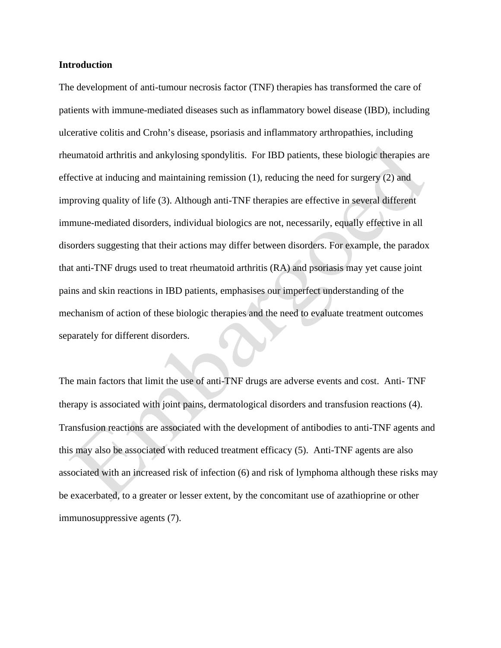## **Introduction**

The development of anti-tumour necrosis factor (TNF) therapies has transformed the care of patients with immune-mediated diseases such as inflammatory bowel disease (IBD), including ulcerative colitis and Crohn's disease, psoriasis and inflammatory arthropathies, including rheumatoid arthritis and ankylosing spondylitis. For IBD patients, these biologic therapies are effective at inducing and maintaining remission (1), reducing the need for surgery (2) and improving quality of life (3). Although anti-TNF therapies are effective in several different immune-mediated disorders, individual biologics are not, necessarily, equally effective in all disorders suggesting that their actions may differ between disorders. For example, the paradox that anti-TNF drugs used to treat rheumatoid arthritis (RA) and psoriasis may yet cause joint pains and skin reactions in IBD patients, emphasises our imperfect understanding of the mechanism of action of these biologic therapies and the need to evaluate treatment outcomes separately for different disorders.

The main factors that limit the use of anti-TNF drugs are adverse events and cost. Anti- TNF therapy is associated with joint pains, dermatological disorders and transfusion reactions (4). Transfusion reactions are associated with the development of antibodies to anti-TNF agents and this may also be associated with reduced treatment efficacy (5). Anti-TNF agents are also associated with an increased risk of infection (6) and risk of lymphoma although these risks may be exacerbated, to a greater or lesser extent, by the concomitant use of azathioprine or other immunosuppressive agents (7).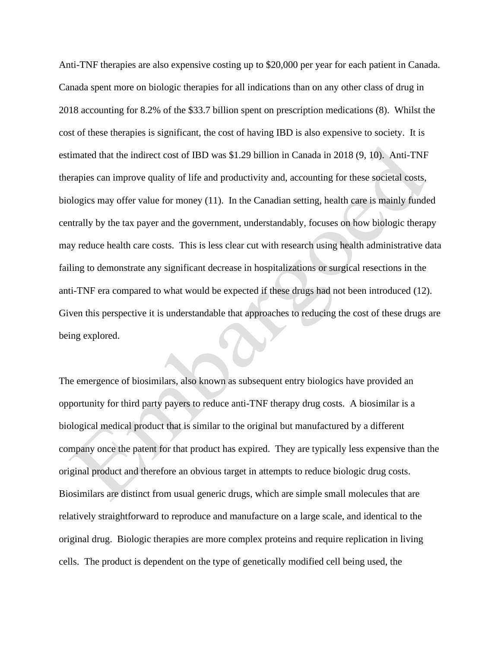Anti-TNF therapies are also expensive costing up to \$20,000 per year for each patient in Canada. Canada spent more on biologic therapies for all indications than on any other class of drug in 2018 accounting for 8.2% of the \$33.7 billion spent on prescription medications (8). Whilst the cost of these therapies is significant, the cost of having IBD is also expensive to society. It is estimated that the indirect cost of IBD was \$1.29 billion in Canada in 2018 (9, 10). Anti-TNF therapies can improve quality of life and productivity and, accounting for these societal costs, biologics may offer value for money (11). In the Canadian setting, health care is mainly funded centrally by the tax payer and the government, understandably, focuses on how biologic therapy may reduce health care costs. This is less clear cut with research using health administrative data failing to demonstrate any significant decrease in hospitalizations or surgical resections in the anti-TNF era compared to what would be expected if these drugs had not been introduced (12). Given this perspective it is understandable that approaches to reducing the cost of these drugs are being explored.

The emergence of biosimilars, also known as subsequent entry biologics have provided an opportunity for third party payers to reduce anti-TNF therapy drug costs. A biosimilar is a biological medical product that is similar to the original but manufactured by a different company once the patent for that product has expired. They are typically less expensive than the original product and therefore an obvious target in attempts to reduce biologic drug costs. Biosimilars are distinct from usual generic drugs, which are simple small molecules that are relatively straightforward to reproduce and manufacture on a large scale, and identical to the original drug. Biologic therapies are more complex proteins and require replication in living cells. The product is dependent on the type of genetically modified cell being used, the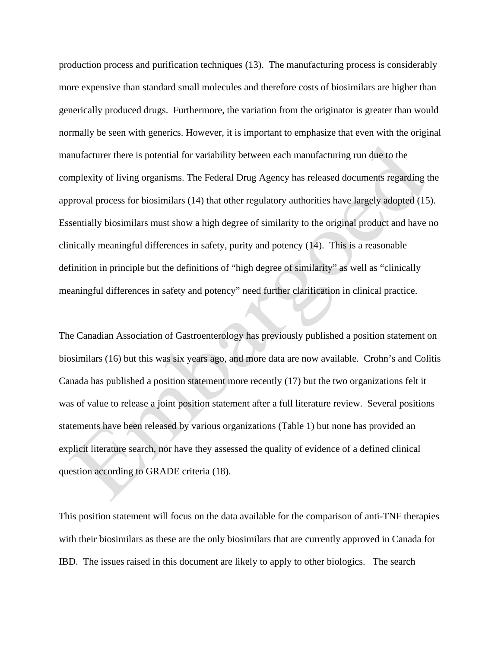production process and purification techniques (13). The manufacturing process is considerably more expensive than standard small molecules and therefore costs of biosimilars are higher than generically produced drugs. Furthermore, the variation from the originator is greater than would normally be seen with generics. However, it is important to emphasize that even with the original manufacturer there is potential for variability between each manufacturing run due to the complexity of living organisms. The Federal Drug Agency has released documents regarding the approval process for biosimilars (14) that other regulatory authorities have largely adopted (15). Essentially biosimilars must show a high degree of similarity to the original product and have no clinically meaningful differences in safety, purity and potency (14). This is a reasonable definition in principle but the definitions of "high degree of similarity" as well as "clinically meaningful differences in safety and potency" need further clarification in clinical practice.

The Canadian Association of Gastroenterology has previously published a position statement on biosimilars (16) but this was six years ago, and more data are now available. Crohn's and Colitis Canada has published a position statement more recently (17) but the two organizations felt it was of value to release a joint position statement after a full literature review. Several positions statements have been released by various organizations (Table 1) but none has provided an explicit literature search, nor have they assessed the quality of evidence of a defined clinical question according to GRADE criteria (18).

This position statement will focus on the data available for the comparison of anti-TNF therapies with their biosimilars as these are the only biosimilars that are currently approved in Canada for IBD. The issues raised in this document are likely to apply to other biologics. The search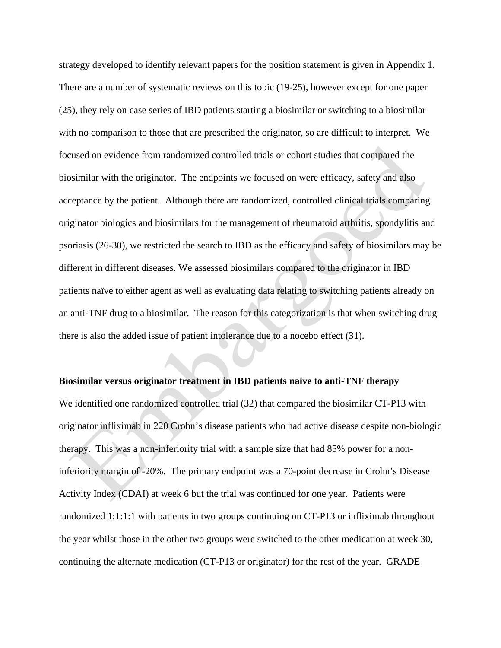strategy developed to identify relevant papers for the position statement is given in Appendix 1. There are a number of systematic reviews on this topic (19-25), however except for one paper (25), they rely on case series of IBD patients starting a biosimilar or switching to a biosimilar with no comparison to those that are prescribed the originator, so are difficult to interpret. We focused on evidence from randomized controlled trials or cohort studies that compared the biosimilar with the originator. The endpoints we focused on were efficacy, safety and also acceptance by the patient. Although there are randomized, controlled clinical trials comparing originator biologics and biosimilars for the management of rheumatoid arthritis, spondylitis and psoriasis (26-30), we restricted the search to IBD as the efficacy and safety of biosimilars may be different in different diseases. We assessed biosimilars compared to the originator in IBD patients naïve to either agent as well as evaluating data relating to switching patients already on an anti-TNF drug to a biosimilar. The reason for this categorization is that when switching drug there is also the added issue of patient intolerance due to a nocebo effect (31).

## **Biosimilar versus originator treatment in IBD patients naïve to anti-TNF therapy**

We identified one randomized controlled trial (32) that compared the biosimilar CT-P13 with originator infliximab in 220 Crohn's disease patients who had active disease despite non-biologic therapy. This was a non-inferiority trial with a sample size that had 85% power for a noninferiority margin of -20%. The primary endpoint was a 70-point decrease in Crohn's Disease Activity Index (CDAI) at week 6 but the trial was continued for one year. Patients were randomized 1:1:1:1 with patients in two groups continuing on CT-P13 or infliximab throughout the year whilst those in the other two groups were switched to the other medication at week 30, continuing the alternate medication (CT-P13 or originator) for the rest of the year. GRADE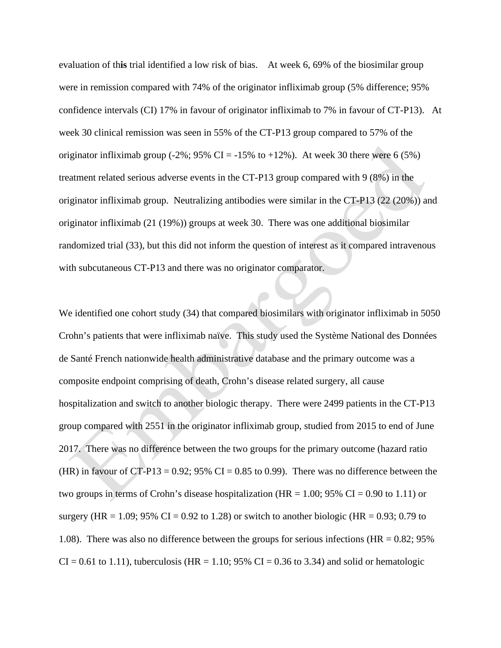evaluation of th**is** trial identified a low risk of bias. At week 6, 69% of the biosimilar group were in remission compared with 74% of the originator infliximab group (5% difference; 95% confidence intervals (CI) 17% in favour of originator infliximab to 7% in favour of CT-P13). At week 30 clinical remission was seen in 55% of the CT-P13 group compared to 57% of the originator infliximab group (-2%; 95% CI = -15% to +12%). At week 30 there were 6 (5%) treatment related serious adverse events in the CT-P13 group compared with 9 (8%) in the originator infliximab group. Neutralizing antibodies were similar in the CT-P13 (22 (20%)) and originator infliximab (21 (19%)) groups at week 30. There was one additional biosimilar randomized trial (33), but this did not inform the question of interest as it compared intravenous with subcutaneous CT-P13 and there was no originator comparator.

We identified one cohort study (34) that compared biosimilars with originator infliximab in 5050 Crohn's patients that were infliximab naïve. This study used the Système National des Données de Santé French nationwide health administrative database and the primary outcome was a composite endpoint comprising of death, Crohn's disease related surgery, all cause hospitalization and switch to another biologic therapy. There were 2499 patients in the CT-P13 group compared with 2551 in the originator infliximab group, studied from 2015 to end of June 2017. There was no difference between the two groups for the primary outcome (hazard ratio (HR) in favour of CT-P13 =  $0.92$ ; 95% CI = 0.85 to 0.99). There was no difference between the two groups in terms of Crohn's disease hospitalization (HR =  $1.00$ ; 95% CI = 0.90 to 1.11) or surgery (HR = 1.09; 95% CI = 0.92 to 1.28) or switch to another biologic (HR = 0.93; 0.79 to 1.08). There was also no difference between the groups for serious infections (HR =  $0.82$ ; 95%  $CI = 0.61$  to 1.11), tuberculosis (HR = 1.10; 95% CI = 0.36 to 3.34) and solid or hematologic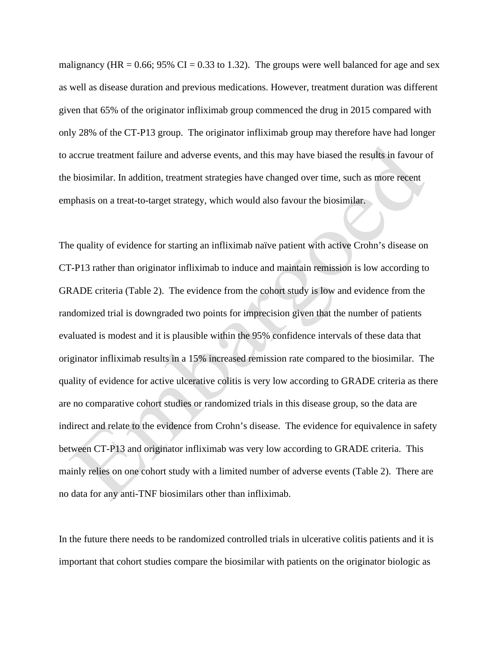malignancy (HR =  $0.66$ ; 95% CI =  $0.33$  to 1.32). The groups were well balanced for age and sex as well as disease duration and previous medications. However, treatment duration was different given that 65% of the originator infliximab group commenced the drug in 2015 compared with only 28% of the CT-P13 group. The originator infliximab group may therefore have had longer to accrue treatment failure and adverse events, and this may have biased the results in favour of the biosimilar. In addition, treatment strategies have changed over time, such as more recent emphasis on a treat-to-target strategy, which would also favour the biosimilar.

The quality of evidence for starting an infliximab naïve patient with active Crohn's disease on CT-P13 rather than originator infliximab to induce and maintain remission is low according to GRADE criteria (Table 2). The evidence from the cohort study is low and evidence from the randomized trial is downgraded two points for imprecision given that the number of patients evaluated is modest and it is plausible within the 95% confidence intervals of these data that originator infliximab results in a 15% increased remission rate compared to the biosimilar. The quality of evidence for active ulcerative colitis is very low according to GRADE criteria as there are no comparative cohort studies or randomized trials in this disease group, so the data are indirect and relate to the evidence from Crohn's disease. The evidence for equivalence in safety between CT-P13 and originator infliximab was very low according to GRADE criteria. This mainly relies on one cohort study with a limited number of adverse events (Table 2). There are no data for any anti-TNF biosimilars other than infliximab.

In the future there needs to be randomized controlled trials in ulcerative colitis patients and it is important that cohort studies compare the biosimilar with patients on the originator biologic as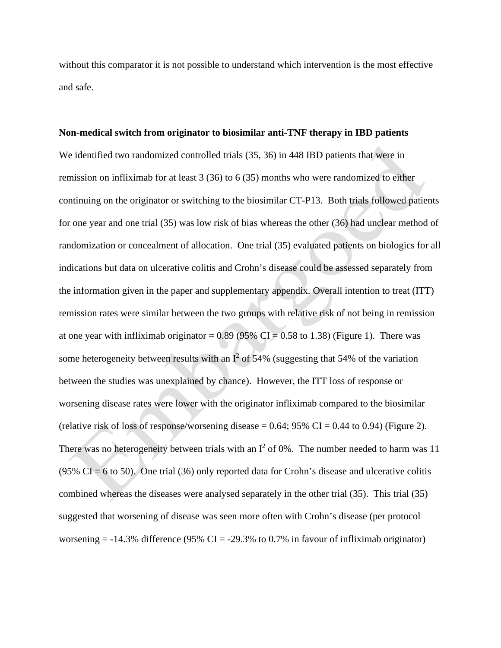without this comparator it is not possible to understand which intervention is the most effective and safe.

# **Non-medical switch from originator to biosimilar anti-TNF therapy in IBD patients** We identified two randomized controlled trials (35, 36) in 448 IBD patients that were in remission on infliximab for at least 3 (36) to 6 (35) months who were randomized to either continuing on the originator or switching to the biosimilar CT-P13. Both trials followed patients for one year and one trial (35) was low risk of bias whereas the other (36) had unclear method of randomization or concealment of allocation. One trial (35) evaluated patients on biologics for all indications but data on ulcerative colitis and Crohn's disease could be assessed separately from the information given in the paper and supplementary appendix. Overall intention to treat (ITT) remission rates were similar between the two groups with relative risk of not being in remission at one year with infliximab originator =  $0.89$  (95% CI = 0.58 to 1.38) (Figure 1). There was some heterogeneity between results with an  $I^2$  of 54% (suggesting that 54% of the variation between the studies was unexplained by chance). However, the ITT loss of response or worsening disease rates were lower with the originator infliximab compared to the biosimilar (relative risk of loss of response/worsening disease  $= 0.64$ ; 95% CI  $= 0.44$  to 0.94) (Figure 2). There was no heterogeneity between trials with an  $I^2$  of 0%. The number needed to harm was 11  $(95\% \text{ CI} = 6 \text{ to } 50)$ . One trial (36) only reported data for Crohn's disease and ulcerative colitis combined whereas the diseases were analysed separately in the other trial (35). This trial (35) suggested that worsening of disease was seen more often with Crohn's disease (per protocol

worsening  $= -14.3\%$  difference (95% CI  $= -29.3\%$  to 0.7% in favour of infliximab originator)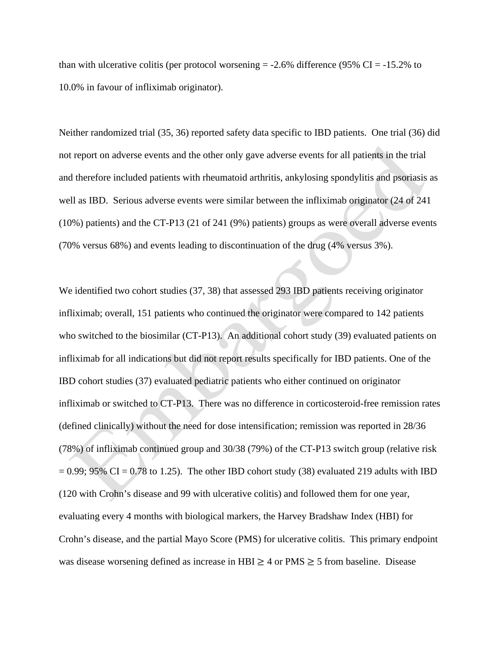than with ulcerative colitis (per protocol worsening  $= -2.6\%$  difference (95% CI  $= -15.2\%$  to 10.0% in favour of infliximab originator).

Neither randomized trial (35, 36) reported safety data specific to IBD patients. One trial (36) did not report on adverse events and the other only gave adverse events for all patients in the trial and therefore included patients with rheumatoid arthritis, ankylosing spondylitis and psoriasis as well as IBD. Serious adverse events were similar between the infliximab originator (24 of 241 (10%) patients) and the CT-P13 (21 of 241 (9%) patients) groups as were overall adverse events (70% versus 68%) and events leading to discontinuation of the drug (4% versus 3%).

We identified two cohort studies (37, 38) that assessed 293 IBD patients receiving originator infliximab; overall, 151 patients who continued the originator were compared to 142 patients who switched to the biosimilar (CT-P13). An additional cohort study (39) evaluated patients on infliximab for all indications but did not report results specifically for IBD patients. One of the IBD cohort studies (37) evaluated pediatric patients who either continued on originator infliximab or switched to CT-P13. There was no difference in corticosteroid-free remission rates (defined clinically) without the need for dose intensification; remission was reported in 28/36 (78%) of infliximab continued group and 30/38 (79%) of the CT-P13 switch group (relative risk  $= 0.99$ ; 95% CI  $= 0.78$  to 1.25). The other IBD cohort study (38) evaluated 219 adults with IBD (120 with Crohn's disease and 99 with ulcerative colitis) and followed them for one year, evaluating every 4 months with biological markers, the Harvey Bradshaw Index (HBI) for Crohn's disease, and the partial Mayo Score (PMS) for ulcerative colitis. This primary endpoint was disease worsening defined as increase in HBI  $\geq$  4 or PMS  $\geq$  5 from baseline. Disease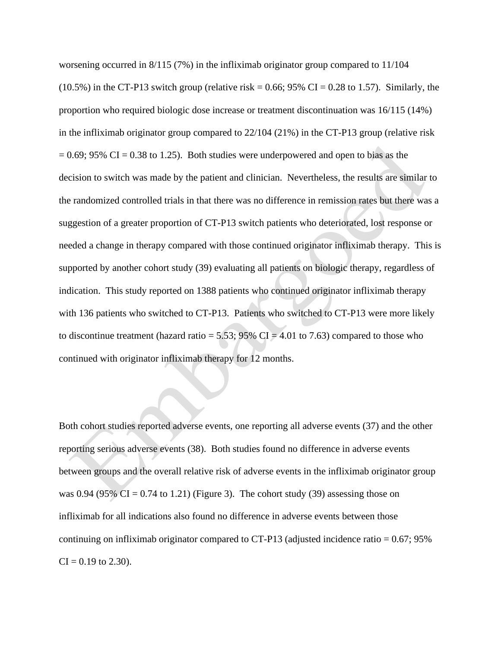worsening occurred in 8/115 (7%) in the infliximab originator group compared to 11/104  $(10.5\%)$  in the CT-P13 switch group (relative risk = 0.66; 95% CI = 0.28 to 1.57). Similarly, the proportion who required biologic dose increase or treatment discontinuation was 16/115 (14%) in the infliximab originator group compared to 22/104 (21%) in the CT-P13 group (relative risk  $= 0.69$ ; 95% CI = 0.38 to 1.25). Both studies were underpowered and open to bias as the decision to switch was made by the patient and clinician. Nevertheless, the results are similar to the randomized controlled trials in that there was no difference in remission rates but there was a suggestion of a greater proportion of CT-P13 switch patients who deteriorated, lost response or needed a change in therapy compared with those continued originator infliximab therapy. This is supported by another cohort study (39) evaluating all patients on biologic therapy, regardless of indication. This study reported on 1388 patients who continued originator infliximab therapy with 136 patients who switched to CT-P13. Patients who switched to CT-P13 were more likely to discontinue treatment (hazard ratio =  $5.53$ ; 95% CI = 4.01 to 7.63) compared to those who continued with originator infliximab therapy for 12 months.

Both cohort studies reported adverse events, one reporting all adverse events (37) and the other reporting serious adverse events (38). Both studies found no difference in adverse events between groups and the overall relative risk of adverse events in the infliximab originator group was 0.94 (95%  $CI = 0.74$  to 1.21) (Figure 3). The cohort study (39) assessing those on infliximab for all indications also found no difference in adverse events between those continuing on infliximab originator compared to CT-P13 (adjusted incidence ratio = 0.67; 95%  $CI = 0.19$  to 2.30).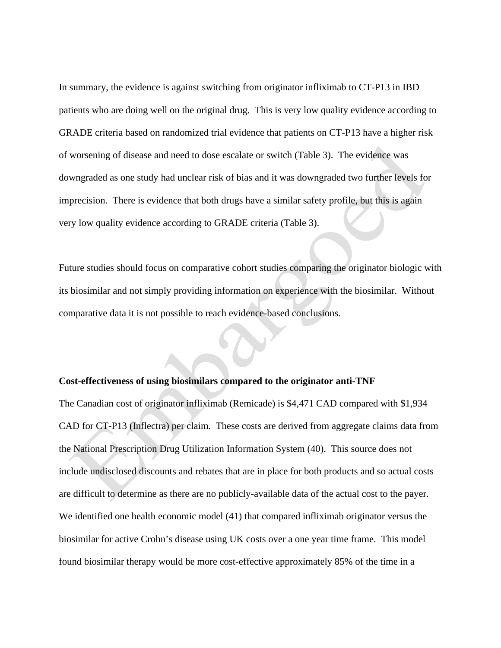In summary, the evidence is against switching from originator infliximab to CT-P13 in IBD patients who are doing well on the original drug. This is very low quality evidence according to GRADE criteria based on randomized trial evidence that patients on CT-P13 have a higher risk of worsening of disease and need to dose escalate or switch (Table 3). The evidence was downgraded as one study had unclear risk of bias and it was downgraded two further levels for imprecision. There is evidence that both drugs have a similar safety profile, but this is again very low quality evidence according to GRADE criteria (Table 3).

Future studies should focus on comparative cohort studies comparing the originator biologic with its biosimilar and not simply providing information on experience with the biosimilar. Without comparative data it is not possible to reach evidence-based conclusions.

#### **Cost-effectiveness of using biosimilars compared to the originator anti-TNF**

The Canadian cost of originator infliximab (Remicade) is \$4,471 CAD compared with \$1,934 CAD for CT-P13 (Inflectra) per claim. These costs are derived from aggregate claims data from the National Prescription Drug Utilization Information System (40). This source does not include undisclosed discounts and rebates that are in place for both products and so actual costs are difficult to determine as there are no publicly-available data of the actual cost to the payer. We identified one health economic model (41) that compared infliximab originator versus the biosimilar for active Crohn's disease using UK costs over a one year time frame. This model found biosimilar therapy would be more cost-effective approximately 85% of the time in a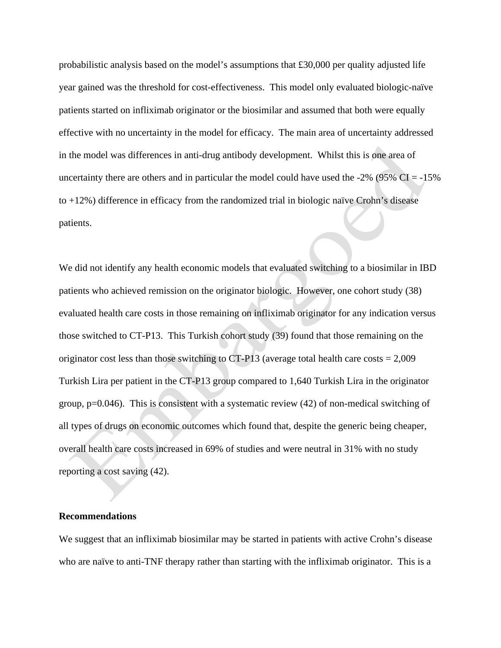probabilistic analysis based on the model's assumptions that £30,000 per quality adjusted life year gained was the threshold for cost-effectiveness. This model only evaluated biologic-naïve patients started on infliximab originator or the biosimilar and assumed that both were equally effective with no uncertainty in the model for efficacy. The main area of uncertainty addressed in the model was differences in anti-drug antibody development. Whilst this is one area of uncertainty there are others and in particular the model could have used the  $-2\%$  (95% CI =  $-15\%$ ) to +12%) difference in efficacy from the randomized trial in biologic naïve Crohn's disease patients.

We did not identify any health economic models that evaluated switching to a biosimilar in IBD patients who achieved remission on the originator biologic. However, one cohort study (38) evaluated health care costs in those remaining on infliximab originator for any indication versus those switched to CT-P13. This Turkish cohort study (39) found that those remaining on the originator cost less than those switching to  $CT-P13$  (average total health care costs  $= 2,009$ ) Turkish Lira per patient in the CT-P13 group compared to 1,640 Turkish Lira in the originator group,  $p=0.046$ ). This is consistent with a systematic review (42) of non-medical switching of all types of drugs on economic outcomes which found that, despite the generic being cheaper, overall health care costs increased in 69% of studies and were neutral in 31% with no study reporting a cost saving (42).

### **Recommendations**

We suggest that an infliximab biosimilar may be started in patients with active Crohn's disease who are naïve to anti-TNF therapy rather than starting with the infliximab originator. This is a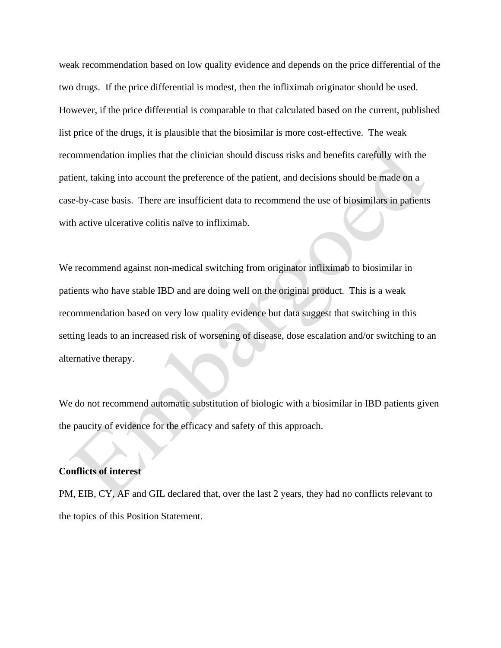weak recommendation based on low quality evidence and depends on the price differential of the two drugs. If the price differential is modest, then the infliximab originator should be used. However, if the price differential is comparable to that calculated based on the current, published list price of the drugs, it is plausible that the biosimilar is more cost-effective. The weak recommendation implies that the clinician should discuss risks and benefits carefully with the patient, taking into account the preference of the patient, and decisions should be made on a case-by-case basis. There are insufficient data to recommend the use of biosimilars in patients with active ulcerative colitis naïve to infliximab.

We recommend against non-medical switching from originator infliximab to biosimilar in patients who have stable IBD and are doing well on the original product. This is a weak recommendation based on very low quality evidence but data suggest that switching in this setting leads to an increased risk of worsening of disease, dose escalation and/or switching to an alternative therapy.

We do not recommend automatic substitution of biologic with a biosimilar in IBD patients given the paucity of evidence for the efficacy and safety of this approach.

## **Conflicts of interest**

PM, EIB, CY, AF and GIL declared that, over the last 2 years, they had no conflicts relevant to the topics of this Position Statement.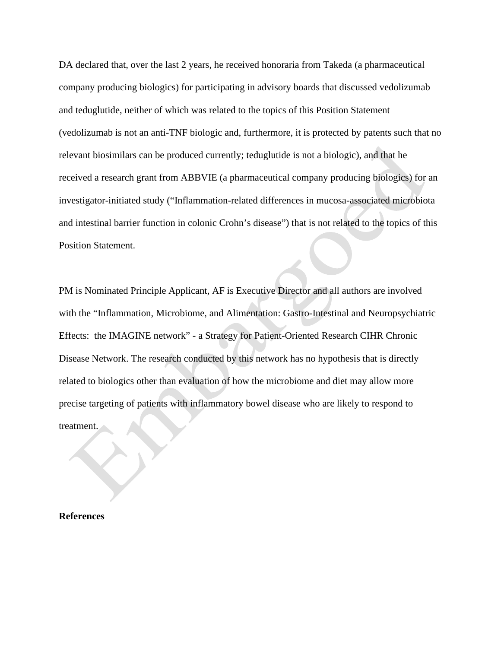DA declared that, over the last 2 years, he received honoraria from Takeda (a pharmaceutical company producing biologics) for participating in advisory boards that discussed vedolizumab and teduglutide, neither of which was related to the topics of this Position Statement (vedolizumab is not an anti-TNF biologic and, furthermore, it is protected by patents such that no relevant biosimilars can be produced currently; teduglutide is not a biologic), and that he received a research grant from ABBVIE (a pharmaceutical company producing biologics) for an investigator-initiated study ("Inflammation-related differences in mucosa-associated microbiota and intestinal barrier function in colonic Crohn's disease") that is not related to the topics of this Position Statement.

PM is Nominated Principle Applicant, AF is Executive Director and all authors are involved with the "Inflammation, Microbiome, and Alimentation: Gastro-Intestinal and Neuropsychiatric Effects: the IMAGINE network" - a Strategy for Patient-Oriented Research CIHR Chronic Disease Network. The research conducted by this network has no hypothesis that is directly related to biologics other than evaluation of how the microbiome and diet may allow more precise targeting of patients with inflammatory bowel disease who are likely to respond to treatment.

**References**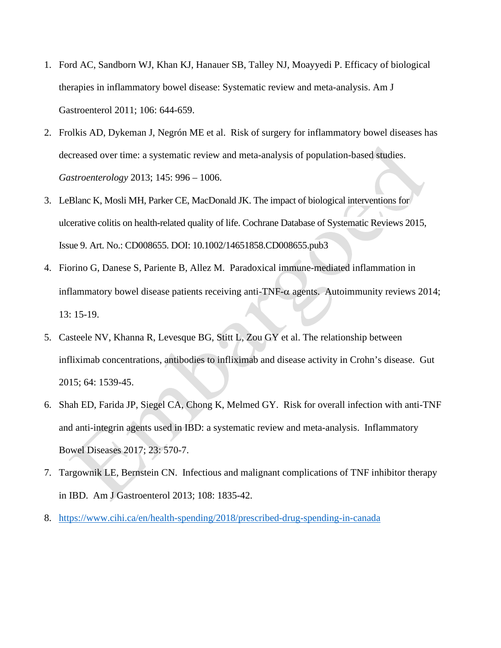- 1. Ford AC, Sandborn WJ, Khan KJ, Hanauer SB, Talley NJ, Moayyedi P. Efficacy of biological therapies in inflammatory bowel disease: Systematic review and meta-analysis. Am J Gastroenterol 2011; 106: 644-659.
- 2. Frolkis AD, Dykeman J, Negrón ME et al. Risk of surgery for inflammatory bowel diseases has decreased over time: a systematic review and meta-analysis of population-based studies. *Gastroenterology* 2013; 145: 996 – 1006.
- 3. LeBlanc K, Mosli MH, Parker CE, MacDonald JK. The impact of biological interventions for ulcerative colitis on health-related quality of life. Cochrane Database of Systematic Reviews 2015, Issue 9. Art. No.: CD008655. DOI: 10.1002/14651858.CD008655.pub3
- 4. Fiorino G, Danese S, Pariente B, Allez M. Paradoxical immune-mediated inflammation in inflammatory bowel disease patients receiving anti-TNF-α agents. Autoimmunity reviews 2014; 13: 15-19.
- 5. Casteele NV, Khanna R, Levesque BG, Stitt L, Zou GY et al. The relationship between infliximab concentrations, antibodies to infliximab and disease activity in Crohn's disease. Gut 2015; 64: 1539-45.
- 6. Shah ED, Farida JP, Siegel CA, Chong K, Melmed GY. Risk for overall infection with anti-TNF and anti-integrin agents used in IBD: a systematic review and meta-analysis. Inflammatory Bowel Diseases 2017; 23: 570-7.
- 7. Targownik LE, Bernstein CN. Infectious and malignant complications of TNF inhibitor therapy in IBD. Am J Gastroenterol 2013; 108: 1835-42.
- 8. <https://www.cihi.ca/en/health-spending/2018/prescribed-drug-spending-in-canada>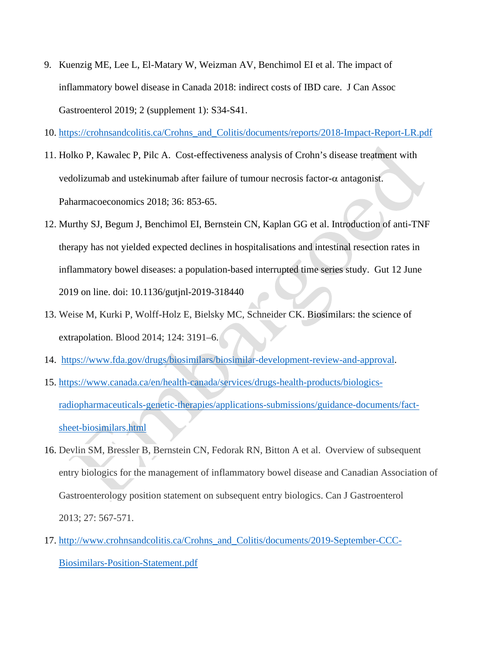- 9. Kuenzig ME, Lee L, El-Matary W, Weizman AV, Benchimol EI et al. The impact of inflammatory bowel disease in Canada 2018: indirect costs of IBD care. J Can Assoc Gastroenterol 2019; 2 (supplement 1): S34-S41.
- 10. [https://crohnsandcolitis.ca/Crohns\\_and\\_Colitis/documents/reports/2018-Impact-Report-LR.pdf](https://crohnsandcolitis.ca/Crohns_and_Colitis/documents/reports/2018-Impact-Report-LR.pdf)
- 11. Holko P, Kawalec P, Pilc A. Cost-effectiveness analysis of Crohn's disease treatment with vedolizumab and ustekinumab after failure of tumour necrosis factor-α antagonist. Paharmacoeconomics 2018; 36: 853-65.
- 12. Murthy SJ, Begum J, Benchimol EI, Bernstein CN, Kaplan GG et al. Introduction of anti-TNF therapy has not yielded expected declines in hospitalisations and intestinal resection rates in inflammatory bowel diseases: a population-based interrupted time series study. Gut 12 June 2019 on line. doi: 10.1136/gutjnl-2019-318440
- 13. Weise M, Kurki P, Wolff-Holz E, Bielsky MC, Schneider CK. Biosimilars: the science of extrapolation. Blood 2014; 124: 3191–6.
- 14. [https://www.fda.gov/drugs/biosimilars/biosimilar-development-review-and-approval.](https://www.fda.gov/drugs/biosimilars/biosimilar-development-review-and-approval)
- 15. [https://www.canada.ca/en/health-canada/services/drugs-health-products/biologics](https://www.canada.ca/en/health-canada/services/drugs-health-products/biologics-radiopharmaceuticals-genetic-therapies/applications-submissions/guidance-documents/fact-sheet-biosimilars.html)[radiopharmaceuticals-genetic-therapies/applications-submissions/guidance-documents/fact](https://www.canada.ca/en/health-canada/services/drugs-health-products/biologics-radiopharmaceuticals-genetic-therapies/applications-submissions/guidance-documents/fact-sheet-biosimilars.html)[sheet-biosimilars.html](https://www.canada.ca/en/health-canada/services/drugs-health-products/biologics-radiopharmaceuticals-genetic-therapies/applications-submissions/guidance-documents/fact-sheet-biosimilars.html)
- 16. Devlin SM, Bressler B, Bernstein CN, Fedorak RN, Bitton A et al. Overview of subsequent entry biologics for the management of inflammatory bowel disease and Canadian Association of Gastroenterology position statement on subsequent entry biologics. Can J Gastroenterol 2013; 27: 567-571.
- 17. [http://www.crohnsandcolitis.ca/Crohns\\_and\\_Colitis/documents/2019-September-CCC-](http://www.crohnsandcolitis.ca/Crohns_and_Colitis/documents/2019-September-CCC-Biosimilars-Position-Statement.pdf)[Biosimilars-Position-Statement.pdf](http://www.crohnsandcolitis.ca/Crohns_and_Colitis/documents/2019-September-CCC-Biosimilars-Position-Statement.pdf)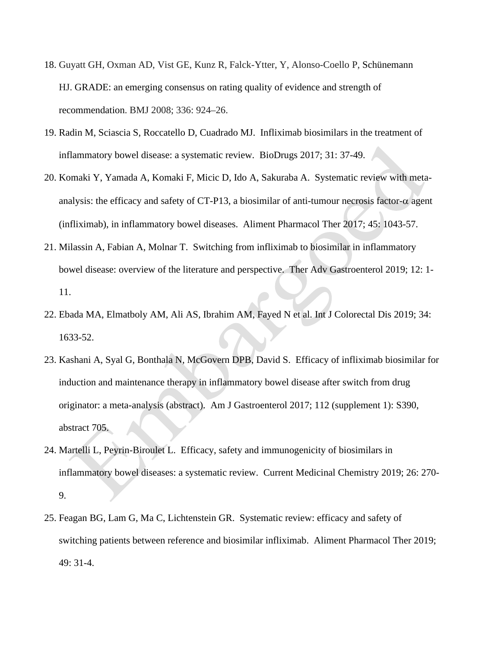- 18. Guyatt GH, Oxman AD, Vist GE, Kunz R, Falck-Ytter, Y, Alonso-Coello P, Schünemann HJ. GRADE: an emerging consensus on rating quality of evidence and strength of recommendation. BMJ 2008; 336: 924–26.
- 19. Radin M, Sciascia S, Roccatello D, Cuadrado MJ. Infliximab biosimilars in the treatment of inflammatory bowel disease: a systematic review. BioDrugs 2017; 31: 37-49.
- 20. Komaki Y, Yamada A, Komaki F, Micic D, Ido A, Sakuraba A. Systematic review with metaanalysis: the efficacy and safety of CT-P13, a biosimilar of anti-tumour necrosis factor- $\alpha$  agent (infliximab), in inflammatory bowel diseases. Aliment Pharmacol Ther 2017; 45: 1043-57.
- 21. Milassin A, Fabian A, Molnar T. Switching from infliximab to biosimilar in inflammatory bowel disease: overview of the literature and perspective. Ther Adv Gastroenterol 2019; 12: 1- 11.
- 22. Ebada MA, Elmatboly AM, Ali AS, Ibrahim AM, Fayed N et al. Int J Colorectal Dis 2019; 34: 1633-52.
- 23. Kashani A, Syal G, Bonthala N, McGovern DPB, David S. Efficacy of infliximab biosimilar for induction and maintenance therapy in inflammatory bowel disease after switch from drug originator: a meta-analysis (abstract). Am J Gastroenterol 2017; 112 (supplement 1): S390, abstract 705.
- 24. Martelli L, Peyrin-Biroulet L. Efficacy, safety and immunogenicity of biosimilars in inflammatory bowel diseases: a systematic review. Current Medicinal Chemistry 2019; 26: 270- 9.
- 25. Feagan BG, Lam G, Ma C, Lichtenstein GR. Systematic review: efficacy and safety of switching patients between reference and biosimilar infliximab. Aliment Pharmacol Ther 2019; 49: 31-4.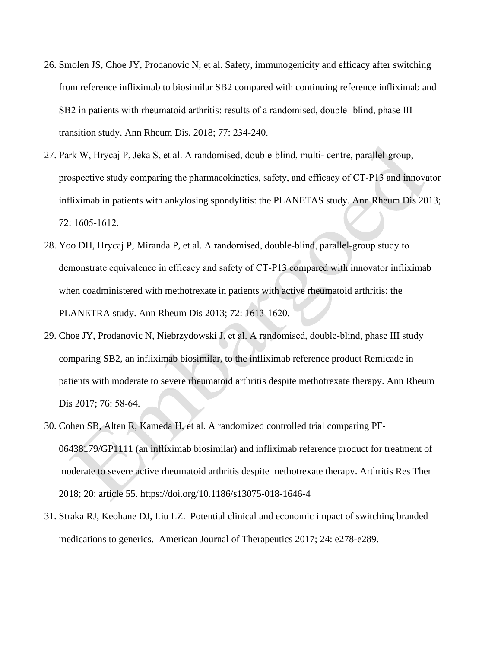- 26. Smolen JS, Choe JY, Prodanovic N, et al. Safety, immunogenicity and efficacy after switching from reference infliximab to biosimilar SB2 compared with continuing reference infliximab and SB2 in patients with rheumatoid arthritis: results of a randomised, double‐ blind, phase III transition study. Ann Rheum Dis. 2018; 77: 234‐240.
- 27. Park W, Hrycaj P, Jeka S, et al. A randomised, double‐blind, multi- centre, parallel‐group, prospective study comparing the pharmacokinetics, safety, and efficacy of CT‐P13 and innovator infliximab in patients with ankylosing spondylitis: the PLANETAS study. Ann Rheum Dis 2013; 72: 1605‐1612.
- 28. Yoo DH, Hrycaj P, Miranda P, et al. A randomised, double‐blind, parallel‐group study to demonstrate equivalence in efficacy and safety of CT‐P13 compared with innovator infliximab when coadministered with methotrexate in patients with active rheumatoid arthritis: the PLANETRA study. Ann Rheum Dis 2013; 72: 1613‐1620.
- 29. Choe JY, Prodanovic N, Niebrzydowski J, et al. A randomised, double‐blind, phase III study comparing SB2, an infliximab biosimilar, to the infliximab reference product Remicade in patients with moderate to severe rheumatoid arthritis despite methotrexate therapy. Ann Rheum Dis 2017; 76: 58‐64.
- 30. Cohen SB, Alten R, Kameda H, et al. A randomized controlled trial comparing PF-06438179/GP1111 (an infliximab biosimilar) and infliximab reference product for treatment of moderate to severe active rheumatoid arthritis despite methotrexate therapy. Arthritis Res Ther 2018; 20: article 55. https://doi.org/10.1186/s13075-018-1646-4
- 31. Straka RJ, Keohane DJ, Liu LZ. Potential clinical and economic impact of switching branded medications to generics. American Journal of Therapeutics 2017; 24: e278-e289.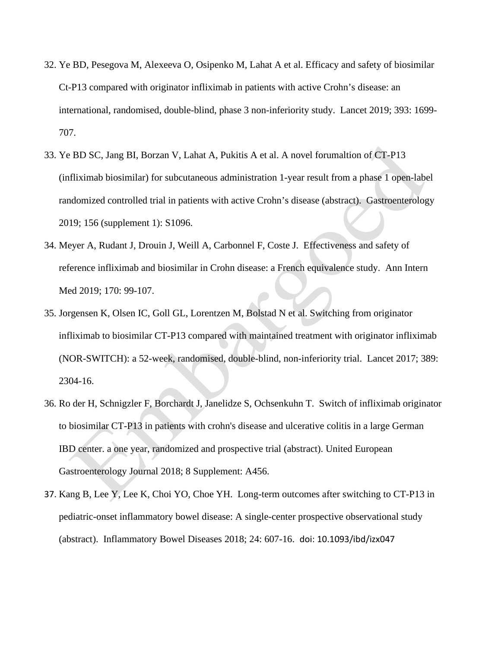- 32. Ye BD, Pesegova M, Alexeeva O, Osipenko M, Lahat A et al. Efficacy and safety of biosimilar Ct-P13 compared with originator infliximab in patients with active Crohn's disease: an international, randomised, double-blind, phase 3 non-inferiority study. Lancet 2019; 393: 1699- 707.
- 33. Ye BD SC, Jang BI, Borzan V, Lahat A, Pukitis A et al. A novel forumaltion of CT-P13 (infliximab biosimilar) for subcutaneous administration 1-year result from a phase 1 open-label randomized controlled trial in patients with active Crohn's disease (abstract). Gastroenterology 2019; 156 (supplement 1): S1096.
- 34. Meyer A, Rudant J, Drouin J, Weill A, Carbonnel F, Coste J. Effectiveness and safety of reference infliximab and biosimilar in Crohn disease: a French equivalence study. Ann Intern Med 2019; 170: 99-107.
- 35. Jorgensen K, Olsen IC, Goll GL, Lorentzen M, Bolstad N et al. Switching from originator infliximab to biosimilar CT-P13 compared with maintained treatment with originator infliximab (NOR-SWITCH): a 52-week, randomised, double-blind, non-inferiority trial. Lancet 2017; 389: 2304-16.
- 36. Ro der H, Schnigzler F, Borchardt J, Janelidze S, Ochsenkuhn T. Switch of infliximab originator to biosimilar CT-P13 in patients with crohn's disease and ulcerative colitis in a large German IBD center. a one year, randomized and prospective trial (abstract). United European Gastroenterology Journal 2018; 8 Supplement: A456.
- 37. Kang B, Lee Y, Lee K, Choi YO, Choe YH. Long-term outcomes after switching to CT-P13 in pediatric-onset inflammatory bowel disease: A single-center prospective observational study (abstract). Inflammatory Bowel Diseases 2018; 24: 607-16. doi: 10.1093/ibd/izx047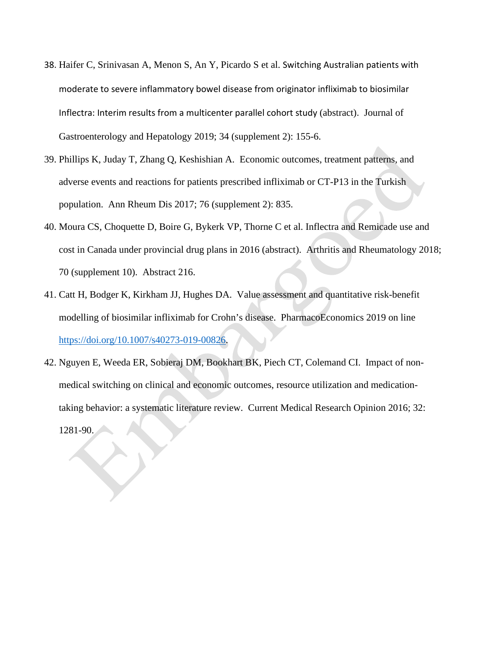- 38. Haifer C, Srinivasan A, Menon S, An Y, Picardo S et al. Switching Australian patients with moderate to severe inflammatory bowel disease from originator infliximab to biosimilar Inflectra: Interim results from a multicenter parallel cohort study (abstract). Journal of Gastroenterology and Hepatology 2019; 34 (supplement 2): 155-6.
- 39. Phillips K, Juday T, Zhang Q, Keshishian A. Economic outcomes, treatment patterns, and adverse events and reactions for patients prescribed infliximab or CT-P13 in the Turkish population. Ann Rheum Dis 2017; 76 (supplement 2): 835.
- 40. Moura CS, Choquette D, Boire G, Bykerk VP, Thorne C et al. Inflectra and Remicade use and cost in Canada under provincial drug plans in 2016 (abstract). Arthritis and Rheumatology 2018; 70 (supplement 10). Abstract 216.
- 41. Catt H, Bodger K, Kirkham JJ, Hughes DA. Value assessment and quantitative risk-benefit modelling of biosimilar infliximab for Crohn's disease. PharmacoEconomics 2019 on line [https://doi.org/10.1007/s40273-019-00826.](https://doi.org/10.1007/s40273-019-00826)
- 42. Nguyen E, Weeda ER, Sobieraj DM, Bookhart BK, Piech CT, Colemand CI. Impact of nonmedical switching on clinical and economic outcomes, resource utilization and medicationtaking behavior: a systematic literature review. Current Medical Research Opinion 2016; 32: 1281-90.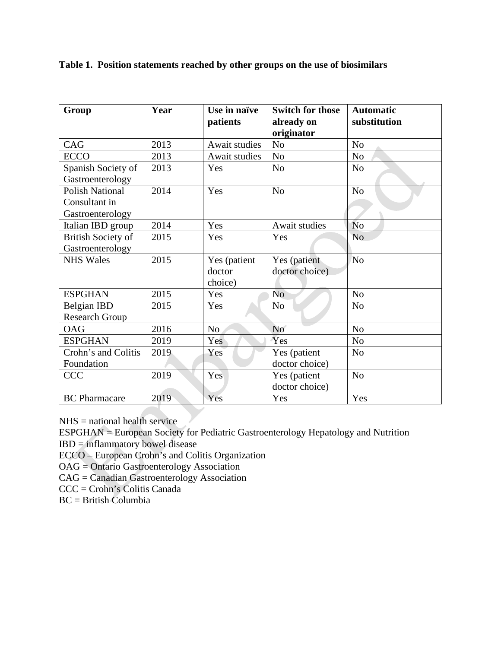| Group                     | Year | Use in naïve   | <b>Switch for those</b>  | <b>Automatic</b> |
|---------------------------|------|----------------|--------------------------|------------------|
|                           |      | patients       | already on<br>originator | substitution     |
| CAG                       | 2013 | Await studies  | No                       | N <sub>o</sub>   |
| <b>ECCO</b>               | 2013 | Await studies  | N <sub>o</sub>           | No               |
| Spanish Society of        | 2013 | Yes            | N <sub>o</sub>           | N <sub>o</sub>   |
| Gastroenterology          |      |                |                          |                  |
| <b>Polish National</b>    | 2014 | Yes            | N <sub>o</sub>           | N <sub>o</sub>   |
| Consultant in             |      |                |                          |                  |
| Gastroenterology          |      |                |                          |                  |
| Italian IBD group         | 2014 | Yes            | Await studies            | N <sub>o</sub>   |
| <b>British Society of</b> | 2015 | Yes            | Yes                      | N <sub>0</sub>   |
| Gastroenterology          |      |                |                          |                  |
| <b>NHS Wales</b>          | 2015 | Yes (patient   | Yes (patient             | N <sub>o</sub>   |
|                           |      | doctor         | doctor choice)           |                  |
|                           |      | choice)        |                          |                  |
| <b>ESPGHAN</b>            | 2015 | Yes            | N <sub>o</sub>           | N <sub>o</sub>   |
| <b>Belgian IBD</b>        | 2015 | Yes            | N <sub>0</sub>           | N <sub>o</sub>   |
| <b>Research Group</b>     |      |                |                          |                  |
| <b>OAG</b>                | 2016 | N <sub>o</sub> | No                       | N <sub>o</sub>   |
| <b>ESPGHAN</b>            | 2019 | Yes            | Yes                      | No               |
| Crohn's and Colitis       | 2019 | Yes            | Yes (patient             | N <sub>o</sub>   |
| Foundation                |      |                | doctor choice)           |                  |
| <b>CCC</b>                | 2019 | Yes            | Yes (patient             | N <sub>o</sub>   |
|                           |      |                | doctor choice)           |                  |
| <b>BC</b> Pharmacare      | 2019 | Yes            | Yes                      | Yes              |

# **Table 1. Position statements reached by other groups on the use of biosimilars**

 $N<sub>HS</sub>$  = national health service

ESPGHAN = European Society for Pediatric Gastroenterology Hepatology and Nutrition

IBD = inflammatory bowel disease

ECCO – European Crohn's and Colitis Organization

OAG = Ontario Gastroenterology Association

CAG = Canadian Gastroenterology Association

CCC = Crohn's Colitis Canada

BC = British Columbia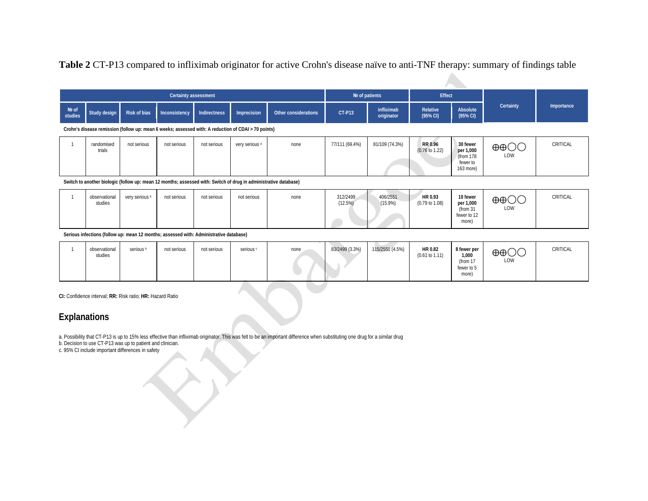# **Table 2** CT-P13 compared to infliximab originator for active Crohn's disease naïve to anti-TNF therapy: summary of findings table

|                  | <b>Certainty assessment</b> |                |                                                                                                                  |                     |                |                      |                     | $Ne$ of patients         |                                      | Effect                                                      |                          |            |
|------------------|-----------------------------|----------------|------------------------------------------------------------------------------------------------------------------|---------------------|----------------|----------------------|---------------------|--------------------------|--------------------------------------|-------------------------------------------------------------|--------------------------|------------|
| Nº of<br>studies | Study design                | Risk of bias   | Inconsistency                                                                                                    | <b>Indirectness</b> | Imprecision    | Other considerations | <b>CT-P13</b>       | infliximab<br>originator | Relative<br>(95% CI)                 | Absolute<br>(95% CI)                                        | Certainty                | Importance |
|                  |                             |                | Crohn's disease remission (follow up: mean 6 weeks; assessed with: A reduction of CDAI > 70 points)              |                     |                |                      |                     |                          |                                      |                                                             |                          |            |
|                  | randomised<br>trials        | not serious    | not serious                                                                                                      | not serious         | very serious a | none                 | 77/111 (69.4%)      | 81/109 (74.3%)           | RR 0.96<br>$(0.76 \text{ to } 1.22)$ | 30 fewer<br>per 1,000<br>(from 178<br>fewer to<br>163 more) | $\oplus$ $\oplus$<br>LOW | CRITICAL   |
|                  |                             |                | Switch to another biologic (follow up: mean 12 months; assessed with: Switch of drug in administrative database) |                     |                |                      |                     |                          |                                      |                                                             |                          |            |
|                  | observational<br>studies    | very serious b | not serious                                                                                                      | not serious         | not serious    | none                 | 312/2499<br>(12.5%) | 406/2551<br>$(15.9\%)$   | HR 0.93<br>$(0.79 \text{ to } 1.08)$ | 10 fewer<br>per 1,000<br>(from $31$<br>fewer to 12          | $\oplus$ $\oplus$<br>LOW | CRITICAL   |

**Serious infections (follow up: mean 12 months; assessed with: Administrative database)**

|  | hservational<br>studies | Serious <sup>b</sup> | not serious | not serious | serious <sup>®</sup> | none | 83/2499 (3.3%) | 115/2551 (4.5%) | HR 0.82<br>$(0.61 \text{ to } 1.11)$ | 8 fewer per<br>1,000<br>(from 17<br>fewer to 5<br>more) | $\oplus$ $\oplus$<br><b>LOW</b> | CRITICAL |
|--|-------------------------|----------------------|-------------|-------------|----------------------|------|----------------|-----------------|--------------------------------------|---------------------------------------------------------|---------------------------------|----------|
|--|-------------------------|----------------------|-------------|-------------|----------------------|------|----------------|-----------------|--------------------------------------|---------------------------------------------------------|---------------------------------|----------|

more)

**CI:** Confidence interval; **RR:** Risk ratio; **HR:** Hazard Ratio

# **Explanations**

a. Possibility that CT-P13 is up to 15% less effective than infliximab originator. This was felt to be an important difference when substituting one drug for a similar drug

b. Decision to use CT-P13 was up to patient and clinician.

c. 95% CI include important differences in safety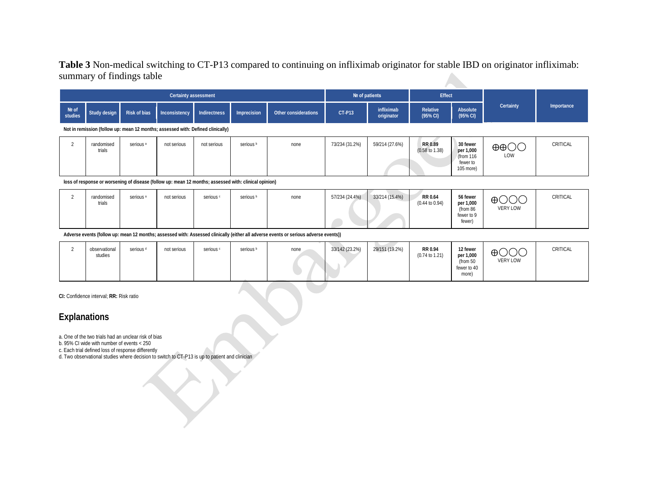# **Table 3** Non-medical switching to CT-P13 compared to continuing on infliximab originator for stable IBD on originator infliximab: summary of findings table

|                  |                      |                      | Certainty assessment                                                            |              |                      |                      | Nº of patients |                          | <b>Effect</b>                        |                                                               |                          |            |
|------------------|----------------------|----------------------|---------------------------------------------------------------------------------|--------------|----------------------|----------------------|----------------|--------------------------|--------------------------------------|---------------------------------------------------------------|--------------------------|------------|
| Nº of<br>studies | Study design         | Risk of bias         | Inconsistency                                                                   | Indirectness | Imprecision          | Other considerations | <b>CT-P13</b>  | infliximab<br>originator | Relative<br>(95% CI)                 | Absolute<br>(95% CI)                                          | Certainty                | Importance |
|                  |                      |                      | Not in remission (follow up: mean 12 months; assessed with: Defined clinically) |              |                      |                      |                |                          |                                      |                                                               |                          |            |
|                  | randomised<br>trials | serious <sup>a</sup> | not serious                                                                     | not serious  | serious <sup>b</sup> | none                 | 73/234 (31.2%) | 59/214 (27.6%)           | RR 0.89<br>$(0.58 \text{ to } 1.38)$ | 30 fewer<br>per 1,000<br>(from $116$<br>fewer to<br>105 more) | $\oplus$ $\oplus$<br>LOW | CRITICAL   |

**loss of response or worsening of disease (follow up: mean 12 months; assessed with: clinical opinion)**

| randomised<br>trials | serious <sup>a</sup> | not serious | serious <sup>c</sup> | serious <sup>b</sup> | none | 57/234 (24.4%) | 33/214 (15.4%) | RR 0.64<br>$(0.44 \text{ to } 0.94)$ | 56 fewer<br>per 1,000<br>(from 86 | $\sim$ $\sim$<br>$\bigoplus$<br>$\smile\smile$<br>VERY LOW | CRITICAL |
|----------------------|----------------------|-------------|----------------------|----------------------|------|----------------|----------------|--------------------------------------|-----------------------------------|------------------------------------------------------------|----------|
|                      |                      |             |                      |                      |      |                |                |                                      | fewer to 9<br>fewer)              |                                                            |          |

**Adverse events (follow up: mean 12 months; assessed with: Assessed clinically (either all adverse events or serious adverse events))**

|  | observational<br>serious <sup>d</sup><br>studies | not serious | serious c | serious <sup>b</sup> | none | 33/142 (23.2%) | 29/151 (19.2%) | RR 0.94<br>$(0.74 \text{ to } 1.21)$ | 12 fewer<br>per 1,000<br>(from 50<br>fewer to 40<br>more) | $\bigoplus$ $\bigodot$ $\bigodot$<br>VERY LOW | CRITICAL |
|--|--------------------------------------------------|-------------|-----------|----------------------|------|----------------|----------------|--------------------------------------|-----------------------------------------------------------|-----------------------------------------------|----------|
|--|--------------------------------------------------|-------------|-----------|----------------------|------|----------------|----------------|--------------------------------------|-----------------------------------------------------------|-----------------------------------------------|----------|

**CI:** Confidence interval; **RR:** Risk ratio

# **Explanations**

a. One of the two trials had an unclear risk of bias

b. 95% CI wide with number of events < 250

c. Each trial defined loss of response differently

d. Two observational studies where decision to switch to CT-P13 is up to patient and clinician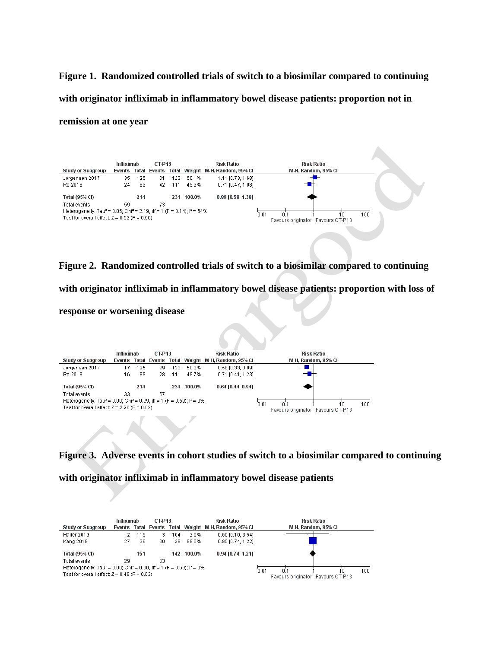**Figure 1. Randomized controlled trials of switch to a biosimilar compared to continuing with originator infliximab in inflammatory bowel disease patients: proportion not in remission at one year**



## **Figure 2. Randomized controlled trials of switch to a biosimilar compared to continuing**

**with originator infliximab in inflammatory bowel disease patients: proportion with loss of** 

### **response or worsening disease**



**Figure 3. Adverse events in cohort studies of switch to a biosimilar compared to continuing** 

**with originator infliximab in inflammatory bowel disease patients**

| <b>Study or Subgroup</b>                                                                      | Infliximab |     | <b>CT-P13</b> |     |            | <b>Risk Ratio</b><br>Events Total Events Total Weight M-H, Random, 95% CI | <b>Risk Ratio</b><br>M-H. Random, 95% CI |
|-----------------------------------------------------------------------------------------------|------------|-----|---------------|-----|------------|---------------------------------------------------------------------------|------------------------------------------|
| Haifer 2019                                                                                   |            | 115 |               | 104 | 2.0%       | $0.60$ [0.10, 3.54]                                                       |                                          |
| Kang 2018                                                                                     | 27         | 36  | 30            | 38  | 98.0%      | 0.95 [0.74, 1.22]                                                         |                                          |
| Total (95% CI)                                                                                |            | 151 |               |     | 142 100.0% | 0.94 [0.74, 1.21]                                                         |                                          |
| Total events                                                                                  | 29         |     | 33            |     |            |                                                                           |                                          |
| Heterogeneity: Tau <sup>2</sup> = 0.00; Chi <sup>2</sup> = 0.30, df = 1 (P = 0.59): $P = 0$ % |            |     |               |     |            |                                                                           | 100<br>0.01<br>10                        |
| Test for overall effect: $Z = 0.48$ (P = 0.63)                                                |            |     |               |     |            |                                                                           | Favours originator Favours CT-P13        |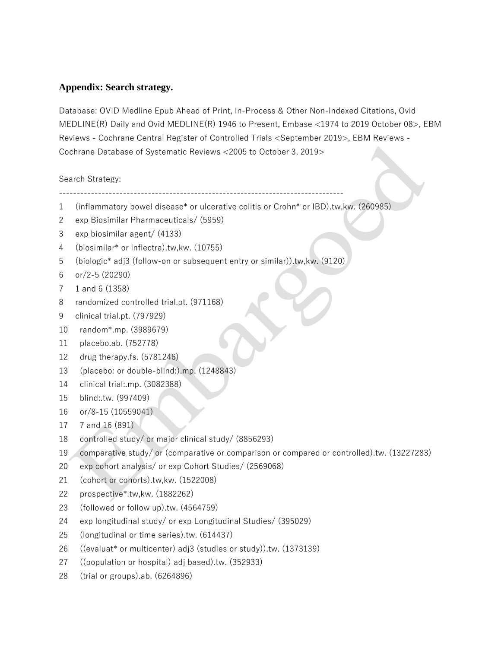# **Appendix: Search strategy.**

Database: OVID Medline Epub Ahead of Print, In-Process & Other Non-Indexed Citations, Ovid MEDLINE(R) Daily and Ovid MEDLINE(R) 1946 to Present, Embase <1974 to 2019 October 08>, EBM Reviews - Cochrane Central Register of Controlled Trials <September 2019>, EBM Reviews - Cochrane Database of Systematic Reviews <2005 to October 3, 2019>

Search Strategy:

--------------------------------------------------------------------------------

- 1 (inflammatory bowel disease\* or ulcerative colitis or Crohn\* or IBD).tw,kw. (260985)
- 2 exp Biosimilar Pharmaceuticals/ (5959)
- 3 exp biosimilar agent/ (4133)
- 4 (biosimilar\* or inflectra).tw,kw. (10755)
- 5 (biologic\* adj3 (follow-on or subsequent entry or similar)).tw,kw. (9120)
- 6 or/2-5 (20290)
- 7 1 and 6 (1358)
- 8 randomized controlled trial.pt. (971168)
- 9 clinical trial.pt. (797929)
- 10 random\*.mp. (3989679)
- 11 placebo.ab. (752778)
- 12 drug therapy.fs. (5781246)
- 13 (placebo: or double-blind:).mp. (1248843)
- 14 clinical trial:.mp. (3082388)
- 15 blind:.tw. (997409)
- 16 or/8-15 (10559041)
- 17 7 and 16 (891)
- 18 controlled study/ or major clinical study/ (8856293)
- 19 comparative study/ or (comparative or comparison or compared or controlled).tw. (13227283)
- 20 exp cohort analysis/ or exp Cohort Studies/ (2569068)
- 21 (cohort or cohorts).tw,kw. (1522008)
- 22 prospective\*.tw,kw. (1882262)
- 23 (followed or follow up).tw. (4564759)
- 24 exp longitudinal study/ or exp Longitudinal Studies/ (395029)
- 25 (longitudinal or time series).tw. (614437)
- 26 ((evaluat\* or multicenter) adj3 (studies or study)).tw. (1373139)
- 27 ((population or hospital) adj based).tw. (352933)
- 28 (trial or groups).ab. (6264896)